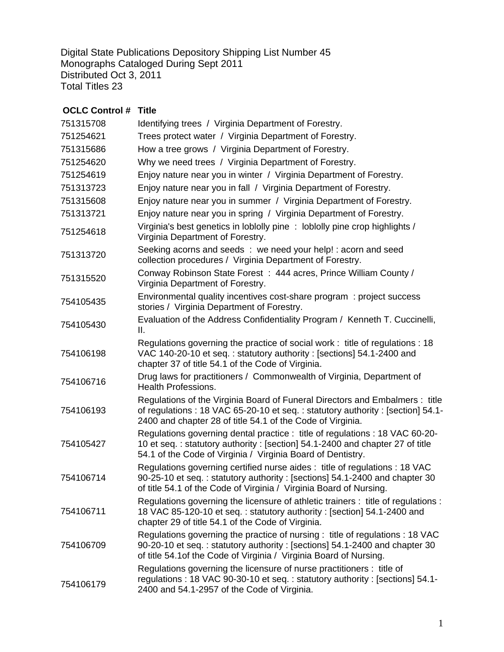Digital State Publications Depository Shipping List Number 45 Monographs Cataloged During Sept 2011 Distributed Oct 3, 2011 Total Titles 23

| <b>OCLC Control #</b> | Title                                                                                                                                                                                                                           |
|-----------------------|---------------------------------------------------------------------------------------------------------------------------------------------------------------------------------------------------------------------------------|
| 751315708             | Identifying trees / Virginia Department of Forestry.                                                                                                                                                                            |
| 751254621             | Trees protect water / Virginia Department of Forestry.                                                                                                                                                                          |
| 751315686             | How a tree grows / Virginia Department of Forestry.                                                                                                                                                                             |
| 751254620             | Why we need trees / Virginia Department of Forestry.                                                                                                                                                                            |
| 751254619             | Enjoy nature near you in winter / Virginia Department of Forestry.                                                                                                                                                              |
| 751313723             | Enjoy nature near you in fall / Virginia Department of Forestry.                                                                                                                                                                |
| 751315608             | Enjoy nature near you in summer / Virginia Department of Forestry.                                                                                                                                                              |
| 751313721             | Enjoy nature near you in spring / Virginia Department of Forestry.                                                                                                                                                              |
| 751254618             | Virginia's best genetics in loblolly pine: loblolly pine crop highlights /<br>Virginia Department of Forestry.                                                                                                                  |
| 751313720             | Seeking acorns and seeds : we need your help! : acorn and seed<br>collection procedures / Virginia Department of Forestry.                                                                                                      |
| 751315520             | Conway Robinson State Forest: 444 acres, Prince William County /<br>Virginia Department of Forestry.                                                                                                                            |
| 754105435             | Environmental quality incentives cost-share program: project success<br>stories / Virginia Department of Forestry.                                                                                                              |
| 754105430             | Evaluation of the Address Confidentiality Program / Kenneth T. Cuccinelli,<br>Ⅱ.                                                                                                                                                |
| 754106198             | Regulations governing the practice of social work: title of regulations: 18<br>VAC 140-20-10 et seq.: statutory authority: [sections] 54.1-2400 and<br>chapter 37 of title 54.1 of the Code of Virginia.                        |
| 754106716             | Drug laws for practitioners / Commonwealth of Virginia, Department of<br><b>Health Professions.</b>                                                                                                                             |
| 754106193             | Regulations of the Virginia Board of Funeral Directors and Embalmers : title<br>of regulations : 18 VAC 65-20-10 et seq. : statutory authority : [section] 54.1-<br>2400 and chapter 28 of title 54.1 of the Code of Virginia.  |
| 754105427             | Regulations governing dental practice : title of regulations : 18 VAC 60-20-<br>10 et seq.: statutory authority: [section] 54.1-2400 and chapter 27 of title<br>54.1 of the Code of Virginia / Virginia Board of Dentistry.     |
| 754106714             | Regulations governing certified nurse aides : title of regulations : 18 VAC<br>90-25-10 et seq.: statutory authority: [sections] 54.1-2400 and chapter 30<br>of title 54.1 of the Code of Virginia / Virginia Board of Nursing. |
| 754106711             | Regulations governing the licensure of athletic trainers : title of regulations :<br>18 VAC 85-120-10 et seq.: statutory authority: [section] 54.1-2400 and<br>chapter 29 of title 54.1 of the Code of Virginia.                |
| 754106709             | Regulations governing the practice of nursing: title of regulations: 18 VAC<br>90-20-10 et seq.: statutory authority: [sections] 54.1-2400 and chapter 30<br>of title 54.1 of the Code of Virginia / Virginia Board of Nursing. |
| 754106179             | Regulations governing the licensure of nurse practitioners : title of<br>regulations: 18 VAC 90-30-10 et seq.: statutory authority: [sections] 54.1-<br>2400 and 54.1-2957 of the Code of Virginia.                             |